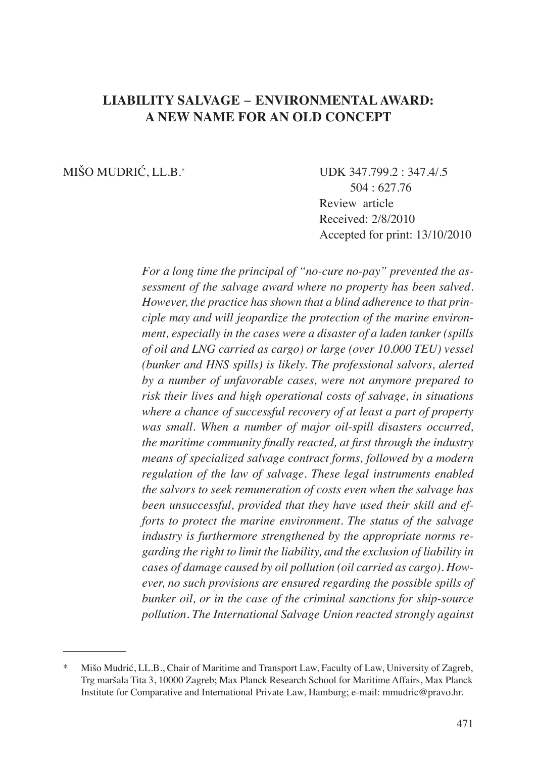# **LIABILITY SALVAGE ENVIRONMENTAL AWARD: A NEW NAME FOR AN OLD CONCEPT**

MIŠO MUDRIĆ, LL.B.\* UDK 347.799.2 : 347.4/.5 504 : 627.76 Review article Received: 2/8/2010 Accepted for print: 13/10/2010

> *For a long time the principal of "no-cure no-pay" prevented the assessment of the salvage award where no property has been salved. However, the practice has shown that a blind adherence to that principle may and will jeopardize the protection of the marine environment, especially in the cases were a disaster of a laden tanker (spills of oil and LNG carried as cargo) or large (over 10.000 TEU) vessel (bunker and HNS spills) is likely. The professional salvors, alerted by a number of unfavorable cases, were not anymore prepared to risk their lives and high operational costs of salvage, in situations where a chance of successful recovery of at least a part of property was small. When a number of major oil-spill disasters occurred, the maritime community finally reacted, at first through the industry means of specialized salvage contract forms, followed by a modern regulation of the law of salvage. These legal instruments enabled the salvors to seek remuneration of costs even when the salvage has been unsuccessful, provided that they have used their skill and efforts to protect the marine environment. The status of the salvage industry is furthermore strengthened by the appropriate norms regarding the right to limit the liability, and the exclusion of liability in cases of damage caused by oil pollution (oil carried as cargo). However, no such provisions are ensured regarding the possible spills of bunker oil, or in the case of the criminal sanctions for ship-source pollution. The International Salvage Union reacted strongly against*

Mišo Mudrić, LL.B., Chair of Maritime and Transport Law, Faculty of Law, University of Zagreb, Trg maršala Tita 3, 10000 Zagreb; Max Planck Research School for Maritime Affairs, Max Planck Institute for Comparative and International Private Law, Hamburg; e-mail: mmudric@pravo.hr.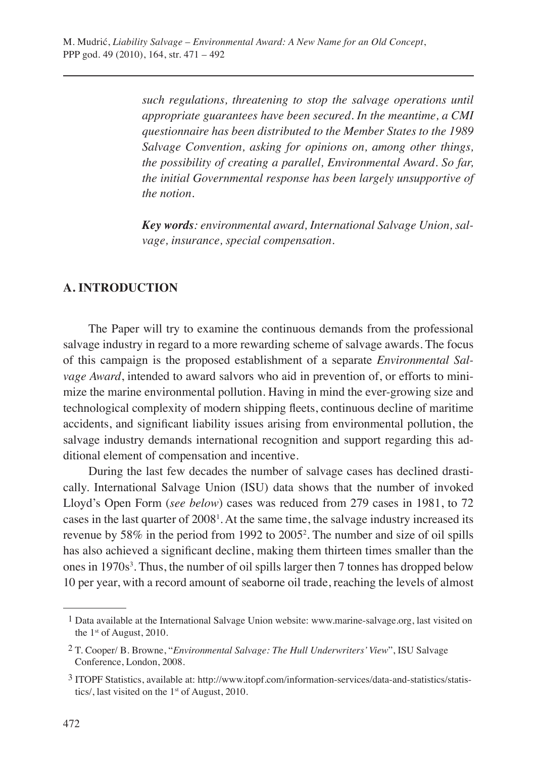*such regulations, threatening to stop the salvage operations until appropriate guarantees have been secured. In the meantime, a CMI questionnaire has been distributed to the Member States to the 1989 Salvage Convention, asking for opinions on, among other things, the possibility of creating a parallel, Environmental Award. So far, the initial Governmental response has been largely unsupportive of the notion.*

*Key words: environmental award, International Salvage Union, salvage, insurance, special compensation.*

## **A. INTRODUCTION**

The Paper will try to examine the continuous demands from the professional salvage industry in regard to a more rewarding scheme of salvage awards. The focus of this campaign is the proposed establishment of a separate *Environmental Salvage Award*, intended to award salvors who aid in prevention of, or efforts to minimize the marine environmental pollution. Having in mind the ever-growing size and technological complexity of modern shipping fleets, continuous decline of maritime accidents, and significant liability issues arising from environmental pollution, the salvage industry demands international recognition and support regarding this additional element of compensation and incentive.

During the last few decades the number of salvage cases has declined drastically. International Salvage Union (ISU) data shows that the number of invoked Lloyd's Open Form (*see below*) cases was reduced from 279 cases in 1981, to 72 cases in the last quarter of  $2008<sup>1</sup>$ . At the same time, the salvage industry increased its revenue by 58% in the period from 1992 to 2005<sup>2</sup>. The number and size of oil spills has also achieved a significant decline, making them thirteen times smaller than the ones in 1970s<sup>3</sup>. Thus, the number of oil spills larger then 7 tonnes has dropped below 10 per year, with a record amount of seaborne oil trade, reaching the levels of almost

 <sup>1</sup> Data available at the International Salvage Union website: www.marine-salvage.org, last visited on the 1<sup>st</sup> of August, 2010.

 <sup>2</sup> T. Cooper/ B. Browne, "*Environmental Salvage: The Hull Underwriters' View*", ISU Salvage Conference, London, 2008.

 <sup>3</sup> ITOPF Statistics, available at: http://www.itopf.com/information-services/data-and-statistics/statistics/, last visited on the 1<sup>st</sup> of August, 2010.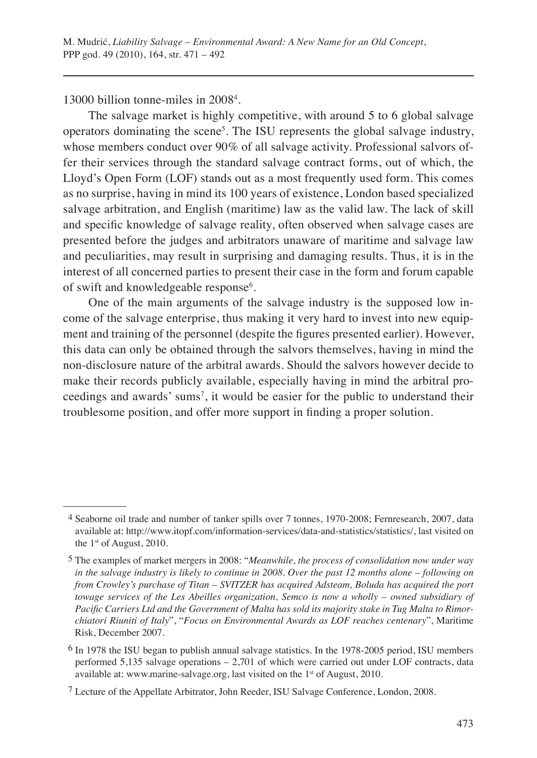13000 billion tonne-miles in 2008<sup>4</sup>.

The salvage market is highly competitive, with around 5 to 6 global salvage operators dominating the scene<sup>5</sup>. The ISU represents the global salvage industry, whose members conduct over 90% of all salvage activity. Professional salvors offer their services through the standard salvage contract forms, out of which, the Lloyd's Open Form (LOF) stands out as a most frequently used form. This comes as no surprise, having in mind its 100 years of existence, London based specialized salvage arbitration, and English (maritime) law as the valid law. The lack of skill and specific knowledge of salvage reality, often observed when salvage cases are presented before the judges and arbitrators unaware of maritime and salvage law and peculiarities, may result in surprising and damaging results. Thus, it is in the interest of all concerned parties to present their case in the form and forum capable of swift and knowledgeable response<sup>6</sup>.

One of the main arguments of the salvage industry is the supposed low income of the salvage enterprise, thus making it very hard to invest into new equipment and training of the personnel (despite the figures presented earlier). However, this data can only be obtained through the salvors themselves, having in mind the non-disclosure nature of the arbitral awards. Should the salvors however decide to make their records publicly available, especially having in mind the arbitral proceedings and awards' sums<sup>7</sup>, it would be easier for the public to understand their troublesome position, and offer more support in finding a proper solution.

 <sup>4</sup> Seaborne oil trade and number of tanker spills over 7 tonnes, 1970-2008; Fernresearch, 2007, data available at: http://www.itopf.com/information-services/data-and-statistics/statistics/, last visited on the  $1<sup>st</sup>$  of August, 2010.

 <sup>5</sup> The examples of market mergers in 2008: "*Meanwhile, the process of consolidation now under way in the salvage industry is likely to continue in 2008. Over the past 12 months alone – following on from Crowley's purchase of Titan – SVITZER has acquired Adsteam, Boluda has acquired the port towage services of the Les Abeilles organization, Semco is now a wholly – owned subsidiary of Pacific Carriers Ltd and the Government of Malta has sold its majority stake in Tug Malta to Rimorchiatori Riuniti of Italy*", "*Focus on Environmental Awards as LOF reaches centenary*", Maritime Risk, December 2007.

 <sup>6</sup> In 1978 the ISU began to publish annual salvage statistics. In the 1978-2005 period, ISU members performed 5,135 salvage operations – 2,701 of which were carried out under LOF contracts, data available at: www.marine-salvage.org, last visited on the 1<sup>st</sup> of August, 2010.

 <sup>7</sup> Lecture of the Appellate Arbitrator, John Reeder, ISU Salvage Conference, London, 2008.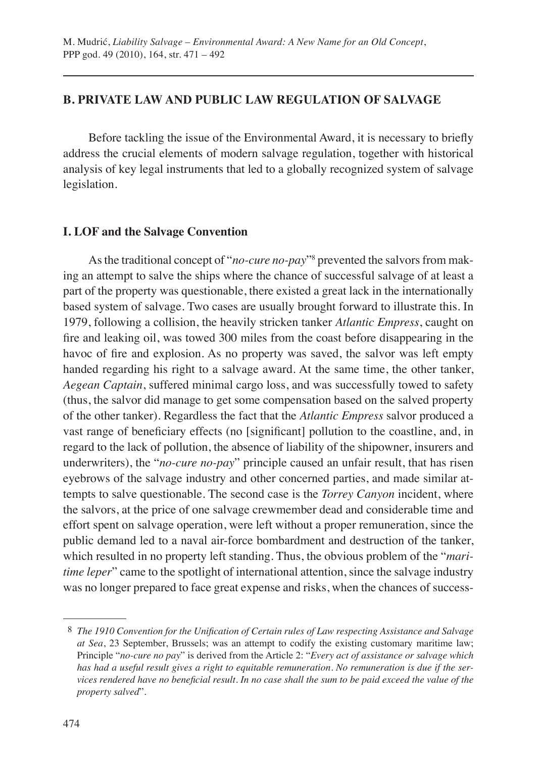## **B. PRIVATE LAW AND PUBLIC LAW REGULATION OF SALVAGE**

Before tackling the issue of the Environmental Award, it is necessary to briefly address the crucial elements of modern salvage regulation, together with historical analysis of key legal instruments that led to a globally recognized system of salvage legislation.

## **I. LOF and the Salvage Convention**

As the traditional concept of "*no-cure no-pay*"8 prevented the salvors from making an attempt to salve the ships where the chance of successful salvage of at least a part of the property was questionable, there existed a great lack in the internationally based system of salvage. Two cases are usually brought forward to illustrate this. In 1979, following a collision, the heavily stricken tanker *Atlantic Empress*, caught on fire and leaking oil, was towed 300 miles from the coast before disappearing in the havoc of fire and explosion. As no property was saved, the salvor was left empty handed regarding his right to a salvage award. At the same time, the other tanker, *Aegean Captain*, suffered minimal cargo loss, and was successfully towed to safety (thus, the salvor did manage to get some compensation based on the salved property of the other tanker). Regardless the fact that the *Atlantic Empress* salvor produced a vast range of beneficiary effects (no [significant] pollution to the coastline, and, in regard to the lack of pollution, the absence of liability of the shipowner, insurers and underwriters), the "*no-cure no-pay*" principle caused an unfair result, that has risen eyebrows of the salvage industry and other concerned parties, and made similar attempts to salve questionable. The second case is the *Torrey Canyon* incident, where the salvors, at the price of one salvage crewmember dead and considerable time and effort spent on salvage operation, were left without a proper remuneration, since the public demand led to a naval air-force bombardment and destruction of the tanker, which resulted in no property left standing. Thus, the obvious problem of the "*maritime leper*" came to the spotlight of international attention, since the salvage industry was no longer prepared to face great expense and risks, when the chances of success-

 <sup>8</sup> *The 1910 Convention for the Unification of Certain rules of Law respecting Assistance and Salvage at Sea*, 23 September, Brussels; was an attempt to codify the existing customary maritime law; Principle "*no-cure no pay*" is derived from the Article 2: "*Every act of assistance or salvage which has had a useful result gives a right to equitable remuneration. No remuneration is due if the services rendered have no beneficial result. In no case shall the sum to be paid exceed the value of the property salved*".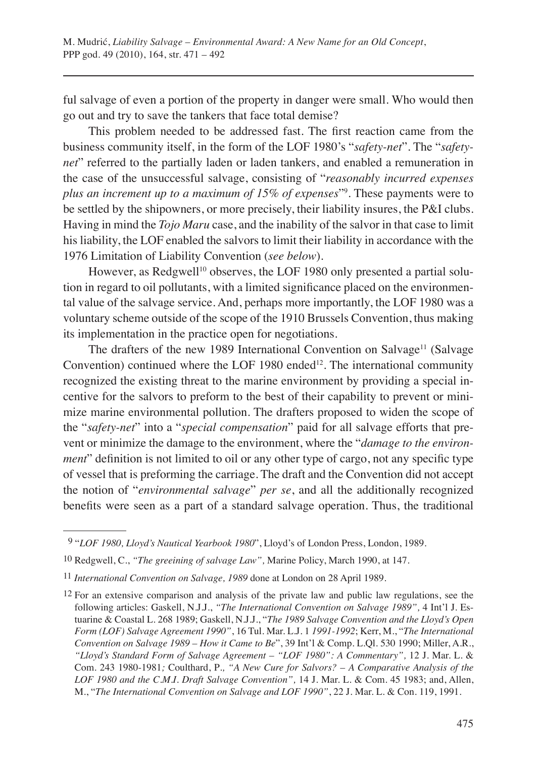ful salvage of even a portion of the property in danger were small. Who would then go out and try to save the tankers that face total demise?

This problem needed to be addressed fast. The first reaction came from the business community itself, in the form of the LOF 1980's "*safety-net*". The "*safetynet*" referred to the partially laden or laden tankers, and enabled a remuneration in the case of the unsuccessful salvage, consisting of "*reasonably incurred expenses plus an increment up to a maximum of 15% of expenses*"9 . These payments were to be settled by the shipowners, or more precisely, their liability insures, the P&I clubs. Having in mind the *Tojo Maru* case, and the inability of the salvor in that case to limit his liability, the LOF enabled the salvors to limit their liability in accordance with the 1976 Limitation of Liability Convention (*see below*).

However, as Redgwell<sup>10</sup> observes, the LOF 1980 only presented a partial solution in regard to oil pollutants, with a limited significance placed on the environmental value of the salvage service. And, perhaps more importantly, the LOF 1980 was a voluntary scheme outside of the scope of the 1910 Brussels Convention, thus making its implementation in the practice open for negotiations.

The drafters of the new 1989 International Convention on Salvage<sup>11</sup> (Salvage) Convention) continued where the LOF 1980 ended<sup>12</sup>. The international community recognized the existing threat to the marine environment by providing a special incentive for the salvors to preform to the best of their capability to prevent or minimize marine environmental pollution. The drafters proposed to widen the scope of the "*safety-net*" into a "*special compensation*" paid for all salvage efforts that prevent or minimize the damage to the environment, where the "*damage to the environment*" definition is not limited to oil or any other type of cargo, not any specific type of vessel that is preforming the carriage. The draft and the Convention did not accept the notion of "*environmental salvage*" *per se*, and all the additionally recognized benefits were seen as a part of a standard salvage operation. Thus, the traditional

 <sup>9 &</sup>quot;*LOF 1980, Lloyd's Nautical Yearbook 1980*", Lloyd's of London Press, London, 1989.

<sup>10</sup> Redgwell, C., *"The greeining of salvage Law",* Marine Policy, March 1990, at 147.

<sup>11</sup> *International Convention on Salvage, 1989* done at London on 28 April 1989.

<sup>12</sup> For an extensive comparison and analysis of the private law and public law regulations, see the following articles: Gaskell, N.J.J., *"The International Convention on Salvage 1989",* 4 Int'l J. Estuarine & Coastal L. 268 1989; Gaskell, N.J.J., "*The 1989 Salvage Convention and the Lloyd's Open Form (LOF) Salvage Agreement 1990"*, 16 Tul. Mar. L.J. 1 *1991-1992*; Kerr, M., "*The International Convention on Salvage 1989 – How it Came to Be*", 39 Int'l & Comp. L.Ql. 530 1990; Miller, A.R., *"Lloyd's Standard Form of Salvage Agreement – "LOF 1980": A Commentary",* 12 J. Mar. L. & Com. 243 1980-1981*;* Coulthard, P*., "A New Cure for Salvors? – A Comparative Analysis of the LOF 1980 and the C.M.I. Draft Salvage Convention",* 14 J. Mar. L. & Com. 45 1983; and, Allen, M., "*The International Convention on Salvage and LOF 1990"*, 22 J. Mar. L. & Con. 119, 1991.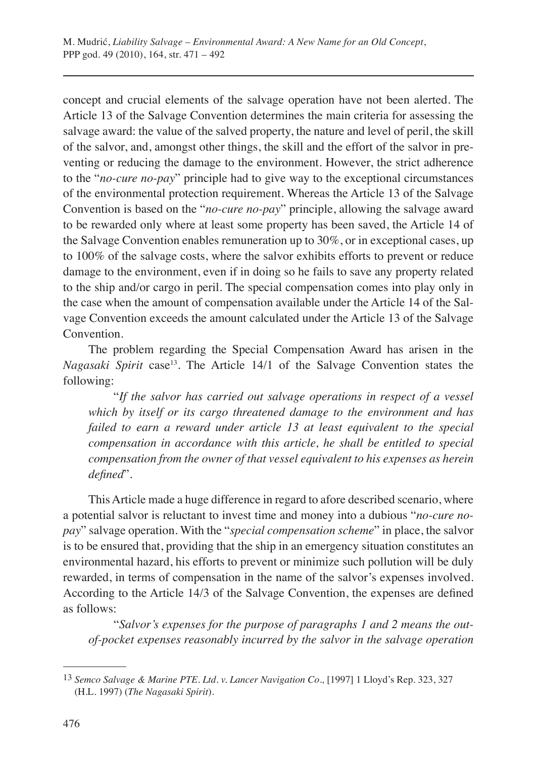concept and crucial elements of the salvage operation have not been alerted. The Article 13 of the Salvage Convention determines the main criteria for assessing the salvage award: the value of the salved property, the nature and level of peril, the skill of the salvor, and, amongst other things, the skill and the effort of the salvor in preventing or reducing the damage to the environment. However, the strict adherence to the "*no-cure no-pay*" principle had to give way to the exceptional circumstances of the environmental protection requirement. Whereas the Article 13 of the Salvage Convention is based on the "*no-cure no-pay*" principle, allowing the salvage award to be rewarded only where at least some property has been saved, the Article 14 of the Salvage Convention enables remuneration up to 30%, or in exceptional cases, up to 100% of the salvage costs, where the salvor exhibits efforts to prevent or reduce damage to the environment, even if in doing so he fails to save any property related to the ship and/or cargo in peril. The special compensation comes into play only in the case when the amount of compensation available under the Article 14 of the Salvage Convention exceeds the amount calculated under the Article 13 of the Salvage Convention.

The problem regarding the Special Compensation Award has arisen in the *Nagasaki Spirit* case<sup>13</sup>. The Article 14/1 of the Salvage Convention states the following:

"*If the salvor has carried out salvage operations in respect of a vessel which by itself or its cargo threatened damage to the environment and has failed to earn a reward under article 13 at least equivalent to the special compensation in accordance with this article, he shall be entitled to special compensation from the owner of that vessel equivalent to his expenses as herein defined*".

This Article made a huge difference in regard to afore described scenario, where a potential salvor is reluctant to invest time and money into a dubious "*no-cure nopay*" salvage operation. With the "*special compensation scheme*" in place, the salvor is to be ensured that, providing that the ship in an emergency situation constitutes an environmental hazard, his efforts to prevent or minimize such pollution will be duly rewarded, in terms of compensation in the name of the salvor's expenses involved. According to the Article 14/3 of the Salvage Convention, the expenses are defined as follows:

"*Salvor's expenses for the purpose of paragraphs 1 and 2 means the outof-pocket expenses reasonably incurred by the salvor in the salvage operation* 

<sup>13</sup> *Semco Salvage & Marine PTE. Ltd. v. Lancer Navigation Co.,* [1997] 1 Lloyd's Rep. 323, 327 (H.L. 1997) (*The Nagasaki Spirit*).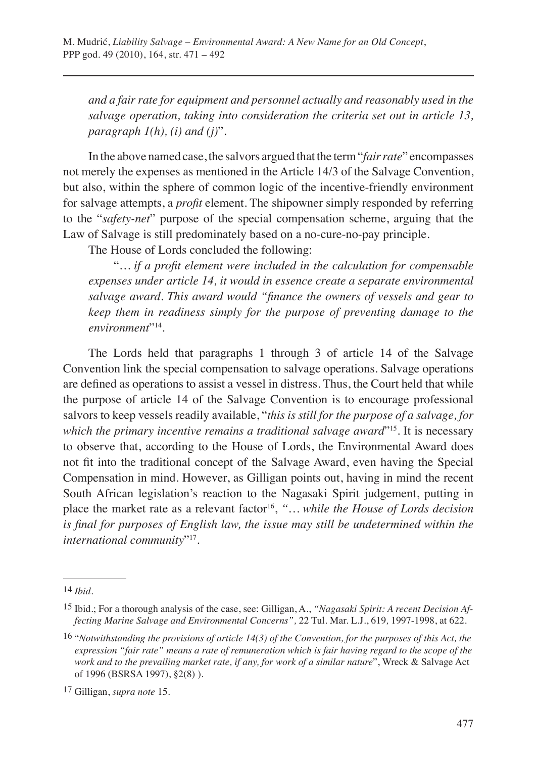*and a fair rate for equipment and personnel actually and reasonably used in the salvage operation, taking into consideration the criteria set out in article 13, paragraph 1(h), (i) and (j)*".

In the above named case, the salvors argued that the term "*fair rate*" encompasses not merely the expenses as mentioned in the Article 14/3 of the Salvage Convention, but also, within the sphere of common logic of the incentive-friendly environment for salvage attempts, a *profit* element. The shipowner simply responded by referring to the "*safety-net*" purpose of the special compensation scheme, arguing that the Law of Salvage is still predominately based on a no-cure-no-pay principle.

The House of Lords concluded the following:

"*… if a profit element were included in the calculation for compensable expenses under article 14, it would in essence create a separate environmental salvage award. This award would "finance the owners of vessels and gear to keep them in readiness simply for the purpose of preventing damage to the environment*"14.

The Lords held that paragraphs 1 through 3 of article 14 of the Salvage Convention link the special compensation to salvage operations. Salvage operations are defined as operations to assist a vessel in distress. Thus, the Court held that while the purpose of article 14 of the Salvage Convention is to encourage professional salvors to keep vessels readily available, "*this is still for the purpose of a salvage, for which the primary incentive remains a traditional salvage award*"15. It is necessary to observe that, according to the House of Lords, the Environmental Award does not fit into the traditional concept of the Salvage Award, even having the Special Compensation in mind. However, as Gilligan points out, having in mind the recent South African legislation's reaction to the Nagasaki Spirit judgement, putting in place the market rate as a relevant factor<sup>16</sup>, "... while the House of Lords decision *is final for purposes of English law, the issue may still be undetermined within the international community*"17.

16 "*Notwithstanding the provisions of article 14(3) of the Convention, for the purposes of this Act, the expression "fair rate" means a rate of remuneration which is fair having regard to the scope of the work and to the prevailing market rate, if any, for work of a similar nature*", Wreck & Salvage Act of 1996 (BSRSA 1997), §2(8) ).

<sup>14</sup> *Ibid.*

<sup>15</sup> Ibid.; For a thorough analysis of the case, see: Gilligan, A., *"Nagasaki Spirit: A recent Decision Affecting Marine Salvage and Environmental Concerns",* 22 Tul. Mar. L.J., 619*,* 1997-1998, at 622.

<sup>17</sup> Gilligan, *supra note* 15.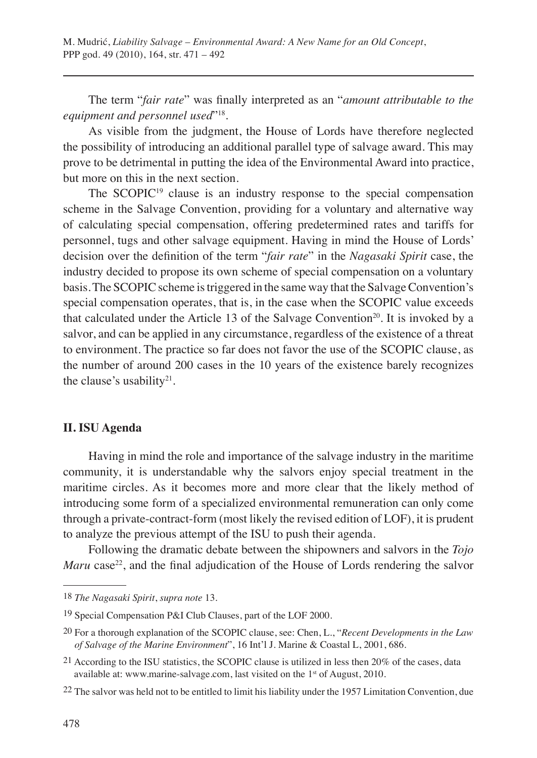The term "*fair rate*" was finally interpreted as an "*amount attributable to the equipment and personnel used*"18.

As visible from the judgment, the House of Lords have therefore neglected the possibility of introducing an additional parallel type of salvage award. This may prove to be detrimental in putting the idea of the Environmental Award into practice, but more on this in the next section.

The SCOPIC<sup>19</sup> clause is an industry response to the special compensation scheme in the Salvage Convention, providing for a voluntary and alternative way of calculating special compensation, offering predetermined rates and tariffs for personnel, tugs and other salvage equipment. Having in mind the House of Lords' decision over the definition of the term "*fair rate*" in the *Nagasaki Spirit* case, the industry decided to propose its own scheme of special compensation on a voluntary basis. The SCOPIC scheme is triggered in the same way that the Salvage Convention's special compensation operates, that is, in the case when the SCOPIC value exceeds that calculated under the Article 13 of the Salvage Convention<sup>20</sup>. It is invoked by a salvor, and can be applied in any circumstance, regardless of the existence of a threat to environment. The practice so far does not favor the use of the SCOPIC clause, as the number of around 200 cases in the 10 years of the existence barely recognizes the clause's usability $2<sup>1</sup>$ .

## **II. ISU Agenda**

Having in mind the role and importance of the salvage industry in the maritime community, it is understandable why the salvors enjoy special treatment in the maritime circles. As it becomes more and more clear that the likely method of introducing some form of a specialized environmental remuneration can only come through a private-contract-form (most likely the revised edition of LOF), it is prudent to analyze the previous attempt of the ISU to push their agenda.

Following the dramatic debate between the shipowners and salvors in the *Tojo Maru* case<sup>22</sup>, and the final adjudication of the House of Lords rendering the salvor

<sup>18</sup> *The Nagasaki Spirit*, *supra note* 13.

<sup>19</sup> Special Compensation P&I Club Clauses, part of the LOF 2000.

<sup>20</sup> For a thorough explanation of the SCOPIC clause, see: Chen, L., "*Recent Developments in the Law of Salvage of the Marine Environment*", 16 Int'l J. Marine & Coastal L, 2001, 686.

<sup>21</sup> According to the ISU statistics, the SCOPIC clause is utilized in less then 20% of the cases, data available at: www.marine-salvage.com, last visited on the 1<sup>st</sup> of August, 2010.

<sup>22</sup> The salvor was held not to be entitled to limit his liability under the 1957 Limitation Convention, due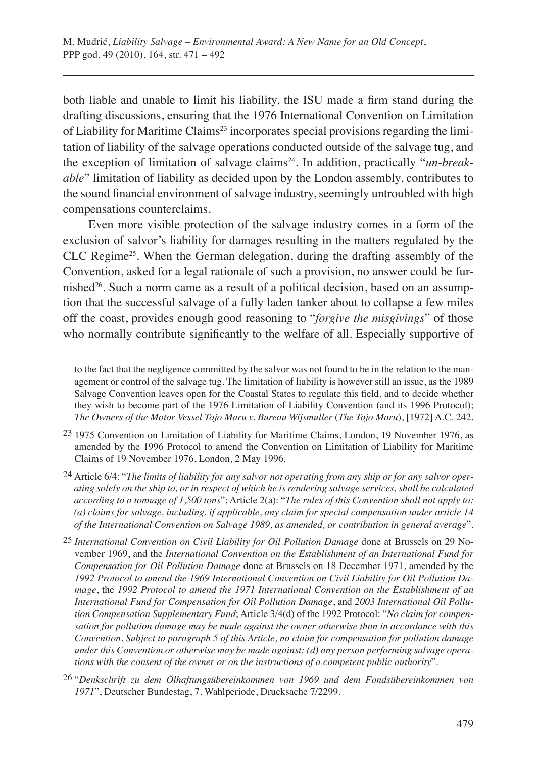both liable and unable to limit his liability, the ISU made a firm stand during the drafting discussions, ensuring that the 1976 International Convention on Limitation of Liability for Maritime Claims<sup>23</sup> incorporates special provisions regarding the limitation of liability of the salvage operations conducted outside of the salvage tug, and the exception of limitation of salvage claims<sup>24</sup>. In addition, practically "*un-breakable*" limitation of liability as decided upon by the London assembly, contributes to the sound financial environment of salvage industry, seemingly untroubled with high compensations counterclaims.

Even more visible protection of the salvage industry comes in a form of the exclusion of salvor's liability for damages resulting in the matters regulated by the CLC Regime25. When the German delegation, during the drafting assembly of the Convention, asked for a legal rationale of such a provision, no answer could be furnished<sup>26</sup>. Such a norm came as a result of a political decision, based on an assumption that the successful salvage of a fully laden tanker about to collapse a few miles off the coast, provides enough good reasoning to "*forgive the misgivings*" of those who normally contribute significantly to the welfare of all. Especially supportive of

to the fact that the negligence committed by the salvor was not found to be in the relation to the management or control of the salvage tug. The limitation of liability is however still an issue, as the 1989 Salvage Convention leaves open for the Coastal States to regulate this field, and to decide whether they wish to become part of the 1976 Limitation of Liability Convention (and its 1996 Protocol); *The Owners of the Motor Vessel Tojo Maru v. Bureau Wijsmuller* (*The Tojo Maru*), [1972] A.C. 242.

<sup>23</sup> 1975 Convention on Limitation of Liability for Maritime Claims, London, 19 November 1976, as amended by the 1996 Protocol to amend the Convention on Limitation of Liability for Maritime Claims of 19 November 1976, London, 2 May 1996.

<sup>24</sup> Article 6/4: "*The limits of liability for any salvor not operating from any ship or for any salvor operating solely on the ship to, or in respect of which he is rendering salvage services, shall be calculated according to a tonnage of 1,500 tons*"; Article 2(a): "*The rules of this Convention shall not apply to: (a) claims for salvage, including, if applicable, any claim for special compensation under article 14 of the International Convention on Salvage 1989, as amended, or contribution in general average*".

<sup>25</sup> *International Convention on Civil Liability for Oil Pollution Damage* done at Brussels on 29 November 1969, and the *International Convention on the Establishment of an International Fund for Compensation for Oil Pollution Damage* done at Brussels on 18 December 1971, amended by the *1992 Protocol to amend the 1969 International Convention on Civil Liability for Oil Pollution Damage*, the *1992 Protocol to amend the 1971 International Convention on the Establishment of an International Fund for Compensation for Oil Pollution Damage*, and *2003 International Oil Pollution Compensation Supplementary Fund*; Article 3/4(d) of the 1992 Protocol: "*No claim for compensation for pollution damage may be made against the owner otherwise than in accordance with this Convention. Subject to paragraph 5 of this Article, no claim for compensation for pollution damage under this Convention or otherwise may be made against: (d) any person performing salvage operations with the consent of the owner or on the instructions of a competent public authority*".

<sup>26</sup> "*Denkschrift zu dem Ölhaftungsübereinkommen von 1969 und dem Fondsübereinkommen von 1971*", Deutscher Bundestag, 7. Wahlperiode, Drucksache 7/2299.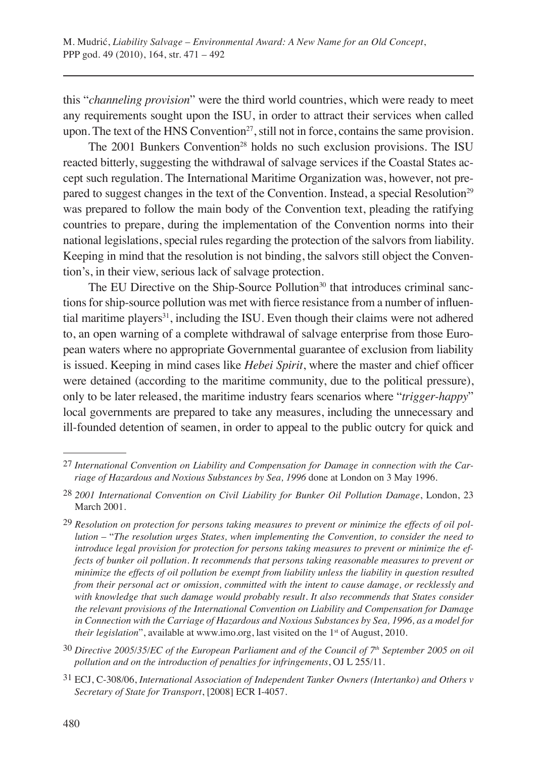this "*channeling provision*" were the third world countries, which were ready to meet any requirements sought upon the ISU, in order to attract their services when called upon. The text of the HNS Convention<sup>27</sup>, still not in force, contains the same provision.

The 2001 Bunkers Convention<sup>28</sup> holds no such exclusion provisions. The ISU reacted bitterly, suggesting the withdrawal of salvage services if the Coastal States accept such regulation. The International Maritime Organization was, however, not prepared to suggest changes in the text of the Convention. Instead, a special Resolution<sup>29</sup> was prepared to follow the main body of the Convention text, pleading the ratifying countries to prepare, during the implementation of the Convention norms into their national legislations, special rules regarding the protection of the salvors from liability. Keeping in mind that the resolution is not binding, the salvors still object the Convention's, in their view, serious lack of salvage protection.

The EU Directive on the Ship-Source Pollution<sup>30</sup> that introduces criminal sanctions for ship-source pollution was met with fierce resistance from a number of influential maritime players<sup>31</sup>, including the ISU. Even though their claims were not adhered to, an open warning of a complete withdrawal of salvage enterprise from those European waters where no appropriate Governmental guarantee of exclusion from liability is issued. Keeping in mind cases like *Hebei Spirit*, where the master and chief officer were detained (according to the maritime community, due to the political pressure), only to be later released, the maritime industry fears scenarios where "*trigger-happy*" local governments are prepared to take any measures, including the unnecessary and ill-founded detention of seamen, in order to appeal to the public outcry for quick and

<sup>27</sup> *International Convention on Liability and Compensation for Damage in connection with the Carriage of Hazardous and Noxious Substances by Sea, 1996* done at London on 3 May 1996.

<sup>28</sup> *2001 International Convention on Civil Liability for Bunker Oil Pollution Damage*, London, 23 March 2001.

<sup>29</sup> *Resolution on protection for persons taking measures to prevent or minimize the effects of oil pollution* – "*The resolution urges States, when implementing the Convention, to consider the need to introduce legal provision for protection for persons taking measures to prevent or minimize the effects of bunker oil pollution. It recommends that persons taking reasonable measures to prevent or minimize the effects of oil pollution be exempt from liability unless the liability in question resulted from their personal act or omission, committed with the intent to cause damage, or recklessly and with knowledge that such damage would probably result. It also recommends that States consider the relevant provisions of the International Convention on Liability and Compensation for Damage in Connection with the Carriage of Hazardous and Noxious Substances by Sea, 1996, as a model for their legislation*", available at www.imo.org, last visited on the 1<sup>st</sup> of August, 2010.

<sup>30</sup> *Directive 2005/35/EC of the European Parliament and of the Council of 7th September 2005 on oil pollution and on the introduction of penalties for infringements*, OJ L 255/11.

<sup>31</sup> ECJ, C-308/06, *International Association of Independent Tanker Owners (Intertanko) and Others v Secretary of State for Transport*, [2008] ECR I-4057.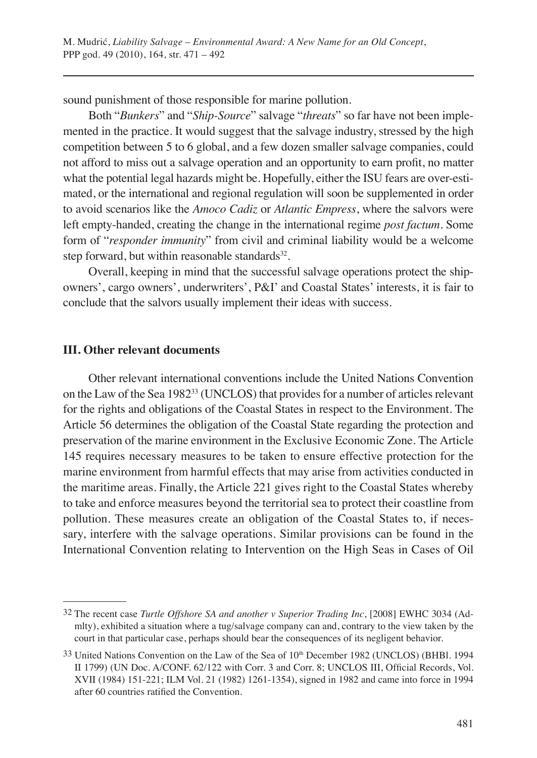sound punishment of those responsible for marine pollution.

Both "*Bunkers*" and "*Ship-Source*" salvage "*threats*" so far have not been implemented in the practice. It would suggest that the salvage industry, stressed by the high competition between 5 to 6 global, and a few dozen smaller salvage companies, could not afford to miss out a salvage operation and an opportunity to earn profit, no matter what the potential legal hazards might be. Hopefully, either the ISU fears are over-estimated, or the international and regional regulation will soon be supplemented in order to avoid scenarios like the *Amoco Cadiz* or *Atlantic Empress*, where the salvors were left empty-handed, creating the change in the international regime *post factum*. Some form of "*responder immunity*" from civil and criminal liability would be a welcome step forward, but within reasonable standards<sup>32</sup>.

Overall, keeping in mind that the successful salvage operations protect the shipowners', cargo owners', underwriters', P&I' and Coastal States' interests, it is fair to conclude that the salvors usually implement their ideas with success.

## **III. Other relevant documents**

Other relevant international conventions include the United Nations Convention on the Law of the Sea 198233 (UNCLOS) that provides for a number of articles relevant for the rights and obligations of the Coastal States in respect to the Environment. The Article 56 determines the obligation of the Coastal State regarding the protection and preservation of the marine environment in the Exclusive Economic Zone. The Article 145 requires necessary measures to be taken to ensure effective protection for the marine environment from harmful effects that may arise from activities conducted in the maritime areas. Finally, the Article 221 gives right to the Coastal States whereby to take and enforce measures beyond the territorial sea to protect their coastline from pollution. These measures create an obligation of the Coastal States to, if necessary, interfere with the salvage operations. Similar provisions can be found in the International Convention relating to Intervention on the High Seas in Cases of Oil

<sup>32</sup> The recent case *Turtle Offshore SA and another v Superior Trading Inc*, [2008] EWHC 3034 (Admlty), exhibited a situation where a tug/salvage company can and, contrary to the view taken by the court in that particular case, perhaps should bear the consequences of its negligent behavior.

<sup>&</sup>lt;sup>33</sup> United Nations Convention on the Law of the Sea of 10<sup>th</sup> December 1982 (UNCLOS) (BHBl. 1994 II 1799) (UN Doc. A/CONF. 62/122 with Corr. 3 and Corr. 8; UNCLOS III, Official Records, Vol. XVII (1984) 151-221; ILM Vol. 21 (1982) 1261-1354), signed in 1982 and came into force in 1994 after 60 countries ratified the Convention.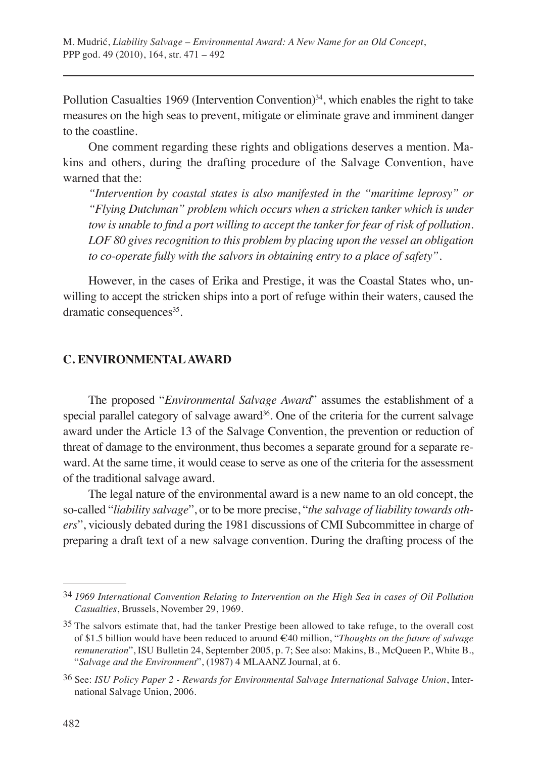Pollution Casualties 1969 (Intervention Convention)<sup>34</sup>, which enables the right to take measures on the high seas to prevent, mitigate or eliminate grave and imminent danger to the coastline.

One comment regarding these rights and obligations deserves a mention. Makins and others, during the drafting procedure of the Salvage Convention, have warned that the:

*"Intervention by coastal states is also manifested in the "maritime leprosy" or "Flying Dutchman" problem which occurs when a stricken tanker which is under tow is unable to find a port willing to accept the tanker for fear of risk of pollution. LOF 80 gives recognition to this problem by placing upon the vessel an obligation to co-operate fully with the salvors in obtaining entry to a place of safety".* 

However, in the cases of Erika and Prestige, it was the Coastal States who, unwilling to accept the stricken ships into a port of refuge within their waters, caused the dramatic consequences<sup>35</sup>.

#### **C. ENVIRONMENTAL AWARD**

The proposed "*Environmental Salvage Award*" assumes the establishment of a special parallel category of salvage award<sup>36</sup>. One of the criteria for the current salvage award under the Article 13 of the Salvage Convention, the prevention or reduction of threat of damage to the environment, thus becomes a separate ground for a separate reward. At the same time, it would cease to serve as one of the criteria for the assessment of the traditional salvage award.

The legal nature of the environmental award is a new name to an old concept, the so-called "*liability salvage*", or to be more precise, "*the salvage of liability towards others*", viciously debated during the 1981 discussions of CMI Subcommittee in charge of preparing a draft text of a new salvage convention. During the drafting process of the

<sup>34</sup> *1969 International Convention Relating to Intervention on the High Sea in cases of Oil Pollution Casualties*, Brussels, November 29, 1969.

<sup>35</sup> The salvors estimate that, had the tanker Prestige been allowed to take refuge, to the overall cost of \$1.5 billion would have been reduced to around €40 million, "*Thoughts on the future of salvage remuneration*", ISU Bulletin 24, September 2005, p. 7; See also: Makins, B., McQueen P., White B., "*Salvage and the Environment*", (1987) 4 MLAANZ Journal, at 6.

<sup>36</sup> See: *ISU Policy Paper 2 - Rewards for Environmental Salvage International Salvage Union*, International Salvage Union, 2006.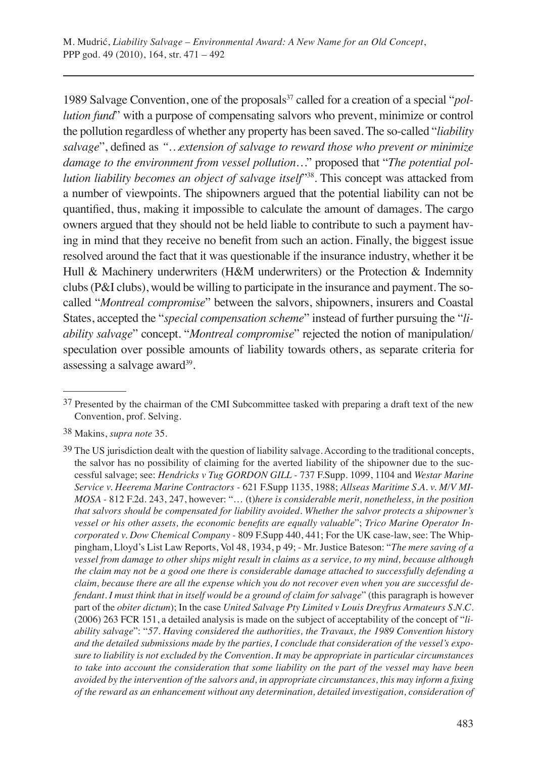1989 Salvage Convention, one of the proposals<sup>37</sup> called for a creation of a special "*pollution fund*" with a purpose of compensating salvors who prevent, minimize or control the pollution regardless of whether any property has been saved. The so-called "*liability salvage*", defined as *"…extension of salvage to reward those who prevent or minimize damage to the environment from vessel pollution…*" proposed that "*The potential pollution liability becomes an object of salvage itself*"38. This concept was attacked from a number of viewpoints. The shipowners argued that the potential liability can not be quantified, thus, making it impossible to calculate the amount of damages. The cargo owners argued that they should not be held liable to contribute to such a payment having in mind that they receive no benefit from such an action. Finally, the biggest issue resolved around the fact that it was questionable if the insurance industry, whether it be Hull & Machinery underwriters (H&M underwriters) or the Protection & Indemnity clubs (P&I clubs), would be willing to participate in the insurance and payment. The socalled "*Montreal compromise*" between the salvors, shipowners, insurers and Coastal States, accepted the "*special compensation scheme*" instead of further pursuing the "*liability salvage*" concept. "*Montreal compromise*" rejected the notion of manipulation/ speculation over possible amounts of liability towards others, as separate criteria for assessing a salvage award $39$ .

38 Makins, *supra note* 35.

<sup>37</sup> Presented by the chairman of the CMI Subcommittee tasked with preparing a draft text of the new Convention, prof. Selving.

<sup>39</sup> The US jurisdiction dealt with the question of liability salvage. According to the traditional concepts, the salvor has no possibility of claiming for the averted liability of the shipowner due to the successful salvage; see: *Hendricks v Tug GORDON GILL -* 737 F.Supp. 1099, 1104 and *Westar Marine Service v. Heerema Marine Contractors -* 621 F.Supp 1135, 1988; *Allseas Maritime S.A. v. M/V MI-MOSA -* 812 F.2d. 243, 247, however: "… (t)*here is considerable merit, nonetheless, in the position that salvors should be compensated for liability avoided. Whether the salvor protects a shipowner's vessel or his other assets, the economic benefits are equally valuable*"; *Trico Marine Operator Incorporated v. Dow Chemical Company -* 809 F.Supp 440, 441; For the UK case-law, see: The Whippingham, Lloyd's List Law Reports, Vol 48, 1934, p 49; - Mr. Justice Bateson: "*The mere saving of a vessel from damage to other ships might result in claims as a service, to my mind, because although the claim may not be a good one there is considerable damage attached to successfully defending a claim, because there are all the expense which you do not recover even when you are successful defendant. I must think that in itself would be a ground of claim for salvage*" (this paragraph is however part of the *obiter dictum*); In the case *United Salvage Pty Limited v Louis Dreyfrus Armateurs S.N.C.* (2006) 263 FCR 151, a detailed analysis is made on the subject of acceptability of the concept of "*liability salvage*": "*57. Having considered the authorities, the Travaux, the 1989 Convention history and the detailed submissions made by the parties, I conclude that consideration of the vessel's exposure to liability is not excluded by the Convention. It may be appropriate in particular circumstances to take into account the consideration that some liability on the part of the vessel may have been avoided by the intervention of the salvors and, in appropriate circumstances, this may inform a fixing of the reward as an enhancement without any determination, detailed investigation, consideration of*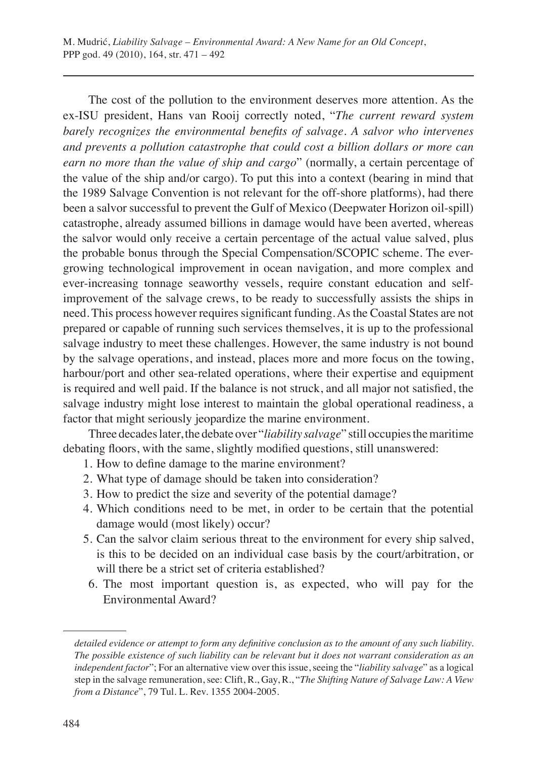The cost of the pollution to the environment deserves more attention. As the ex-ISU president, Hans van Rooij correctly noted, "*The current reward system barely recognizes the environmental benefits of salvage. A salvor who intervenes and prevents a pollution catastrophe that could cost a billion dollars or more can earn no more than the value of ship and cargo*" (normally, a certain percentage of the value of the ship and/or cargo). To put this into a context (bearing in mind that the 1989 Salvage Convention is not relevant for the off-shore platforms), had there been a salvor successful to prevent the Gulf of Mexico (Deepwater Horizon oil-spill) catastrophe, already assumed billions in damage would have been averted, whereas the salvor would only receive a certain percentage of the actual value salved, plus the probable bonus through the Special Compensation/SCOPIC scheme. The evergrowing technological improvement in ocean navigation, and more complex and ever-increasing tonnage seaworthy vessels, require constant education and selfimprovement of the salvage crews, to be ready to successfully assists the ships in need. This process however requires significant funding. As the Coastal States are not prepared or capable of running such services themselves, it is up to the professional salvage industry to meet these challenges. However, the same industry is not bound by the salvage operations, and instead, places more and more focus on the towing, harbour/port and other sea-related operations, where their expertise and equipment is required and well paid. If the balance is not struck, and all major not satisfied, the salvage industry might lose interest to maintain the global operational readiness, a factor that might seriously jeopardize the marine environment.

Three decades later, the debate over "*liability salvage*" still occupies the maritime debating floors, with the same, slightly modified questions, still unanswered:

- 1. How to define damage to the marine environment?
- 2. What type of damage should be taken into consideration?
- 3. How to predict the size and severity of the potential damage?
- 4. Which conditions need to be met, in order to be certain that the potential damage would (most likely) occur?
- 5. Can the salvor claim serious threat to the environment for every ship salved, is this to be decided on an individual case basis by the court/arbitration, or will there be a strict set of criteria established?
- 6. The most important question is, as expected, who will pay for the Environmental Award?

*detailed evidence or attempt to form any definitive conclusion as to the amount of any such liability. The possible existence of such liability can be relevant but it does not warrant consideration as an independent factor*"; For an alternative view over this issue, seeing the "*liability salvage*" as a logical step in the salvage remuneration, see: Clift, R., Gay, R., "*The Shifting Nature of Salvage Law: A View from a Distance*", 79 Tul. L. Rev. 1355 2004-2005.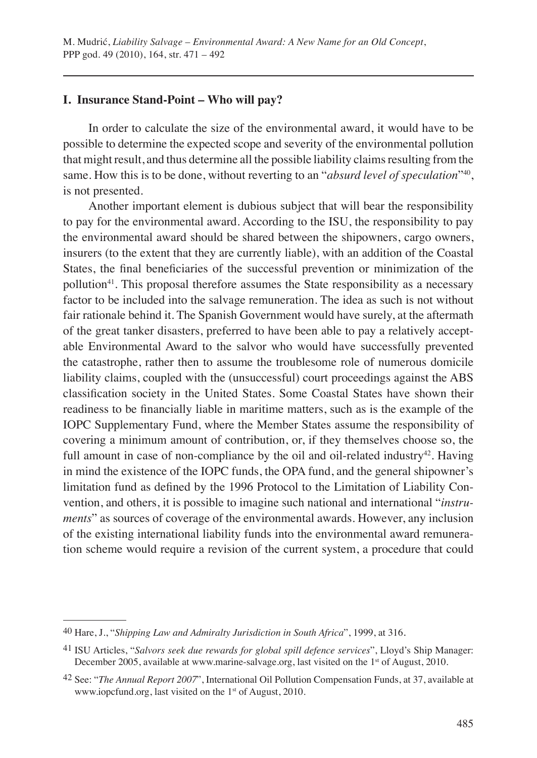#### **I. Insurance Stand-Point – Who will pay?**

In order to calculate the size of the environmental award, it would have to be possible to determine the expected scope and severity of the environmental pollution that might result, and thus determine all the possible liability claims resulting from the same. How this is to be done, without reverting to an "*absurd level of speculation*"40, is not presented.

Another important element is dubious subject that will bear the responsibility to pay for the environmental award. According to the ISU, the responsibility to pay the environmental award should be shared between the shipowners, cargo owners, insurers (to the extent that they are currently liable), with an addition of the Coastal States, the final beneficiaries of the successful prevention or minimization of the pollution<sup>41</sup>. This proposal therefore assumes the State responsibility as a necessary factor to be included into the salvage remuneration. The idea as such is not without fair rationale behind it. The Spanish Government would have surely, at the aftermath of the great tanker disasters, preferred to have been able to pay a relatively acceptable Environmental Award to the salvor who would have successfully prevented the catastrophe, rather then to assume the troublesome role of numerous domicile liability claims, coupled with the (unsuccessful) court proceedings against the ABS classification society in the United States. Some Coastal States have shown their readiness to be financially liable in maritime matters, such as is the example of the IOPC Supplementary Fund, where the Member States assume the responsibility of covering a minimum amount of contribution, or, if they themselves choose so, the full amount in case of non-compliance by the oil and oil-related industry<sup>42</sup>. Having in mind the existence of the IOPC funds, the OPA fund, and the general shipowner's limitation fund as defined by the 1996 Protocol to the Limitation of Liability Convention, and others, it is possible to imagine such national and international "*instruments*" as sources of coverage of the environmental awards. However, any inclusion of the existing international liability funds into the environmental award remuneration scheme would require a revision of the current system, a procedure that could

<sup>40</sup> Hare, J., "*Shipping Law and Admiralty Jurisdiction in South Africa*", 1999, at 316.

<sup>41</sup> ISU Articles, "*Salvors seek due rewards for global spill defence services*", Lloyd's Ship Manager: December 2005, available at www.marine-salvage.org, last visited on the 1<sup>st</sup> of August, 2010.

<sup>42</sup> See: "*The Annual Report 2007*", International Oil Pollution Compensation Funds, at 37, available at www.iopcfund.org, last visited on the 1st of August, 2010.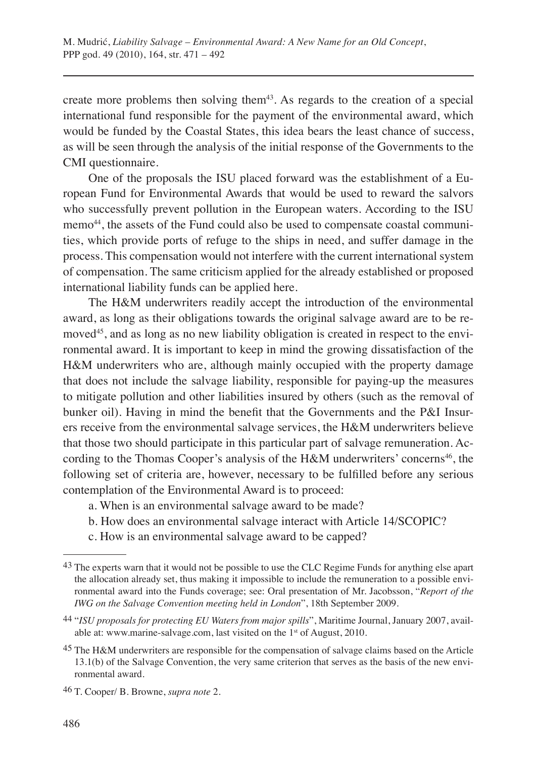create more problems then solving them<sup>43</sup>. As regards to the creation of a special international fund responsible for the payment of the environmental award, which would be funded by the Coastal States, this idea bears the least chance of success, as will be seen through the analysis of the initial response of the Governments to the CMI questionnaire.

One of the proposals the ISU placed forward was the establishment of a European Fund for Environmental Awards that would be used to reward the salvors who successfully prevent pollution in the European waters. According to the ISU memo44, the assets of the Fund could also be used to compensate coastal communities, which provide ports of refuge to the ships in need, and suffer damage in the process. This compensation would not interfere with the current international system of compensation. The same criticism applied for the already established or proposed international liability funds can be applied here.

The H&M underwriters readily accept the introduction of the environmental award, as long as their obligations towards the original salvage award are to be removed<sup>45</sup>, and as long as no new liability obligation is created in respect to the environmental award. It is important to keep in mind the growing dissatisfaction of the H&M underwriters who are, although mainly occupied with the property damage that does not include the salvage liability, responsible for paying-up the measures to mitigate pollution and other liabilities insured by others (such as the removal of bunker oil). Having in mind the benefit that the Governments and the P&I Insurers receive from the environmental salvage services, the H&M underwriters believe that those two should participate in this particular part of salvage remuneration. According to the Thomas Cooper's analysis of the H&M underwriters' concerns<sup>46</sup>, the following set of criteria are, however, necessary to be fulfilled before any serious contemplation of the Environmental Award is to proceed:

- a. When is an environmental salvage award to be made?
- b. How does an environmental salvage interact with Article 14/SCOPIC?
- c. How is an environmental salvage award to be capped?

<sup>43</sup> The experts warn that it would not be possible to use the CLC Regime Funds for anything else apart the allocation already set, thus making it impossible to include the remuneration to a possible environmental award into the Funds coverage; see: Oral presentation of Mr. Jacobsson, "*Report of the IWG on the Salvage Convention meeting held in London*", 18th September 2009.

<sup>44</sup> "*ISU proposals for protecting EU Waters from major spills*", Maritime Journal, January 2007, available at: www.marine-salvage.com, last visited on the 1st of August, 2010.

<sup>45</sup> The H&M underwriters are responsible for the compensation of salvage claims based on the Article 13.1(b) of the Salvage Convention, the very same criterion that serves as the basis of the new environmental award.

<sup>46</sup> T. Cooper/ B. Browne, *supra note* 2.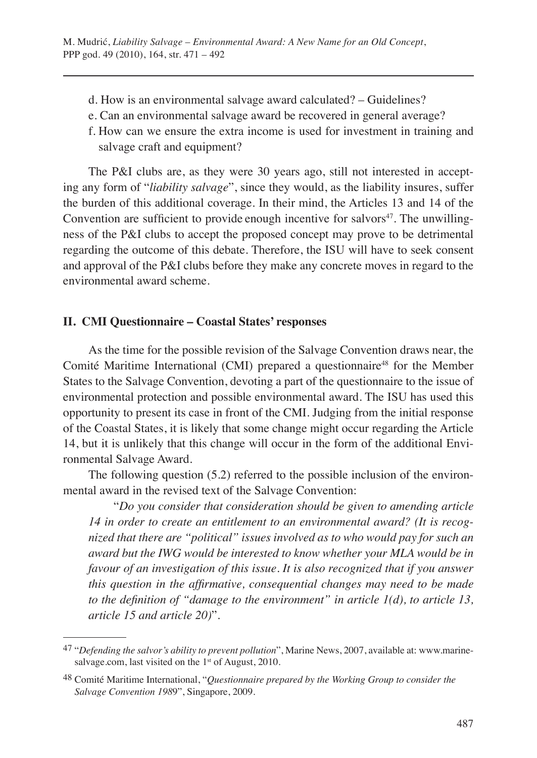- d. How is an environmental salvage award calculated? Guidelines?
- e. Can an environmental salvage award be recovered in general average?
- f. How can we ensure the extra income is used for investment in training and salvage craft and equipment?

The P&I clubs are, as they were 30 years ago, still not interested in accepting any form of "*liability salvage*", since they would, as the liability insures, suffer the burden of this additional coverage. In their mind, the Articles 13 and 14 of the Convention are sufficient to provide enough incentive for salvors<sup>47</sup>. The unwillingness of the P&I clubs to accept the proposed concept may prove to be detrimental regarding the outcome of this debate. Therefore, the ISU will have to seek consent and approval of the P&I clubs before they make any concrete moves in regard to the environmental award scheme.

## **II. CMI Questionnaire – Coastal States' responses**

As the time for the possible revision of the Salvage Convention draws near, the Comité Maritime International (CMI) prepared a questionnaire<sup>48</sup> for the Member States to the Salvage Convention, devoting a part of the questionnaire to the issue of environmental protection and possible environmental award. The ISU has used this opportunity to present its case in front of the CMI. Judging from the initial response of the Coastal States, it is likely that some change might occur regarding the Article 14, but it is unlikely that this change will occur in the form of the additional Environmental Salvage Award.

The following question (5.2) referred to the possible inclusion of the environmental award in the revised text of the Salvage Convention:

"*Do you consider that consideration should be given to amending article 14 in order to create an entitlement to an environmental award? (It is recognized that there are "political" issues involved as to who would pay for such an award but the IWG would be interested to know whether your MLA would be in favour of an investigation of this issue. It is also recognized that if you answer this question in the affirmative, consequential changes may need to be made to the definition of "damage to the environment" in article 1(d), to article 13, article 15 and article 20)*".

<sup>47</sup> "*Defending the salvor's ability to prevent pollution*", Marine News, 2007, available at: www.marinesalvage.com, last visited on the 1<sup>st</sup> of August, 2010.

<sup>48</sup> Comité Maritime International, "*Questionnaire prepared by the Working Group to consider the Salvage Convention 198*9", Singapore, 2009.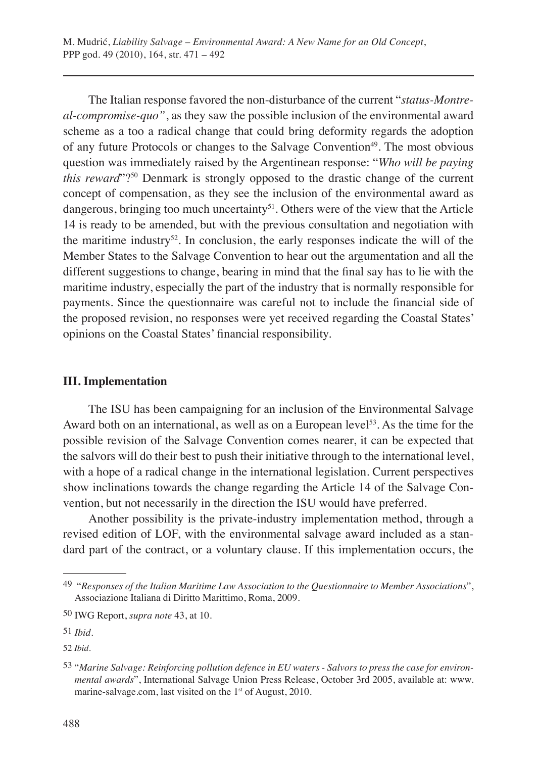The Italian response favored the non-disturbance of the current "*status-Montreal-compromise-quo"*, as they saw the possible inclusion of the environmental award scheme as a too a radical change that could bring deformity regards the adoption of any future Protocols or changes to the Salvage Convention<sup>49</sup>. The most obvious question was immediately raised by the Argentinean response: "*Who will be paying this reward*"?<sup>50</sup> Denmark is strongly opposed to the drastic change of the current concept of compensation, as they see the inclusion of the environmental award as dangerous, bringing too much uncertainty<sup>51</sup>. Others were of the view that the Article 14 is ready to be amended, but with the previous consultation and negotiation with the maritime industry<sup>52</sup>. In conclusion, the early responses indicate the will of the Member States to the Salvage Convention to hear out the argumentation and all the different suggestions to change, bearing in mind that the final say has to lie with the maritime industry, especially the part of the industry that is normally responsible for payments. Since the questionnaire was careful not to include the financial side of the proposed revision, no responses were yet received regarding the Coastal States' opinions on the Coastal States' financial responsibility.

## **III. Implementation**

The ISU has been campaigning for an inclusion of the Environmental Salvage Award both on an international, as well as on a European level<sup>53</sup>. As the time for the possible revision of the Salvage Convention comes nearer, it can be expected that the salvors will do their best to push their initiative through to the international level, with a hope of a radical change in the international legislation. Current perspectives show inclinations towards the change regarding the Article 14 of the Salvage Convention, but not necessarily in the direction the ISU would have preferred.

Another possibility is the private-industry implementation method, through a revised edition of LOF, with the environmental salvage award included as a standard part of the contract, or a voluntary clause. If this implementation occurs, the

<sup>49 &</sup>quot;*Responses of the Italian Maritime Law Association to the Questionnaire to Member Associations*", Associazione Italiana di Diritto Marittimo, Roma, 2009.

<sup>50</sup> IWG Report, *supra note* 43, at 10.

<sup>51</sup> *Ibid.*

<sup>52</sup> *Ibid.*

<sup>53</sup> "*Marine Salvage: Reinforcing pollution defence in EU waters - Salvors to press the case for environmental awards*", International Salvage Union Press Release, October 3rd 2005, available at: www. marine-salvage.com, last visited on the 1<sup>st</sup> of August, 2010.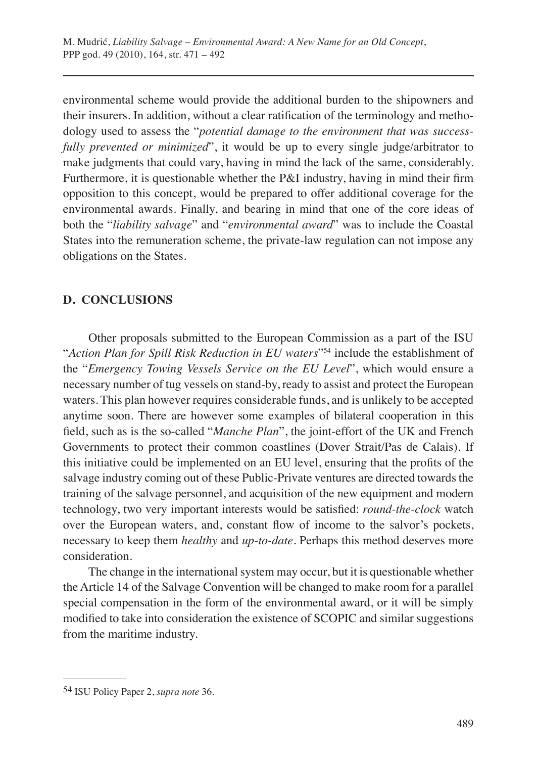environmental scheme would provide the additional burden to the shipowners and their insurers. In addition, without a clear ratification of the terminology and methodology used to assess the "*potential damage to the environment that was successfully prevented or minimized*", it would be up to every single judge/arbitrator to make judgments that could vary, having in mind the lack of the same, considerably. Furthermore, it is questionable whether the P&I industry, having in mind their firm opposition to this concept, would be prepared to offer additional coverage for the environmental awards. Finally, and bearing in mind that one of the core ideas of both the "*liability salvage*" and "*environmental award*" was to include the Coastal States into the remuneration scheme, the private-law regulation can not impose any obligations on the States.

## **D. CONCLUSIONS**

Other proposals submitted to the European Commission as a part of the ISU "*Action Plan for Spill Risk Reduction in EU waters*"54 include the establishment of the "*Emergency Towing Vessels Service on the EU Level*", which would ensure a necessary number of tug vessels on stand-by, ready to assist and protect the European waters. This plan however requires considerable funds, and is unlikely to be accepted anytime soon. There are however some examples of bilateral cooperation in this field, such as is the so-called "*Manche Plan*", the joint-effort of the UK and French Governments to protect their common coastlines (Dover Strait/Pas de Calais). If this initiative could be implemented on an EU level, ensuring that the profits of the salvage industry coming out of these Public-Private ventures are directed towards the training of the salvage personnel, and acquisition of the new equipment and modern technology, two very important interests would be satisfied: *round-the-clock* watch over the European waters, and, constant flow of income to the salvor's pockets, necessary to keep them *healthy* and *up-to-date*. Perhaps this method deserves more consideration.

The change in the international system may occur, but it is questionable whether the Article 14 of the Salvage Convention will be changed to make room for a parallel special compensation in the form of the environmental award, or it will be simply modified to take into consideration the existence of SCOPIC and similar suggestions from the maritime industry.

<sup>54</sup> ISU Policy Paper 2, *supra note* 36.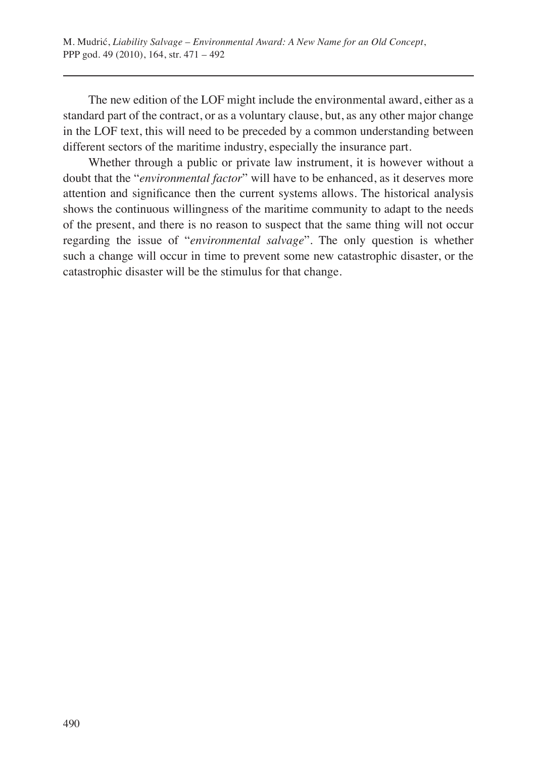The new edition of the LOF might include the environmental award, either as a standard part of the contract, or as a voluntary clause, but, as any other major change in the LOF text, this will need to be preceded by a common understanding between different sectors of the maritime industry, especially the insurance part.

Whether through a public or private law instrument, it is however without a doubt that the "*environmental factor*" will have to be enhanced, as it deserves more attention and significance then the current systems allows. The historical analysis shows the continuous willingness of the maritime community to adapt to the needs of the present, and there is no reason to suspect that the same thing will not occur regarding the issue of "*environmental salvage*". The only question is whether such a change will occur in time to prevent some new catastrophic disaster, or the catastrophic disaster will be the stimulus for that change.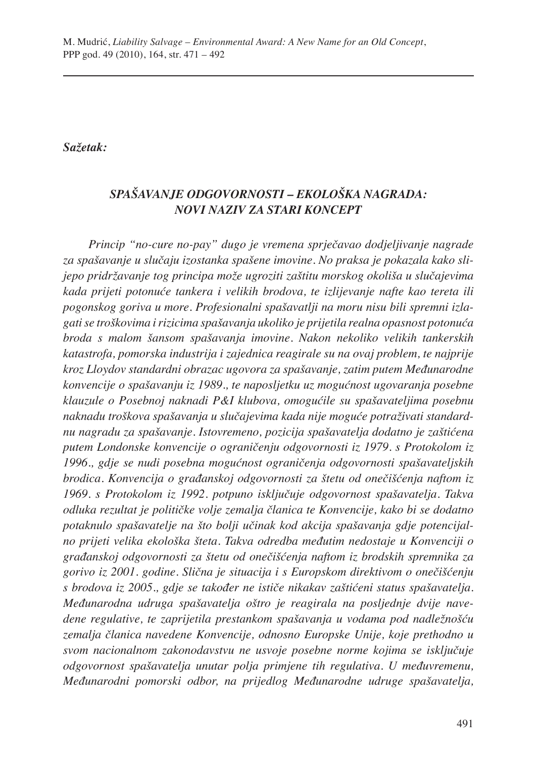## *Sažetak:*

# *SPAŠAVANJE ODGOVORNOSTI – EKOLOŠKA NAGRADA: NOVI NAZIV ZA STARI KONCEPT*

*Princip "no-cure no-pay" dugo je vremena sprječavao dodjeljivanje nagrade za spašavanje u slučaju izostanka spašene imovine. No praksa je pokazala kako slijepo pridržavanje tog principa može ugroziti zaštitu morskog okoliša u slučajevima kada prijeti potonuće tankera i velikih brodova, te izlijevanje nafte kao tereta ili pogonskog goriva u more. Profesionalni spašavatlji na moru nisu bili spremni izlagati se troškovima i rizicima spašavanja ukoliko je prijetila realna opasnost potonuća broda s malom šansom spašavanja imovine. Nakon nekoliko velikih tankerskih katastrofa, pomorska industrija i zajednica reagirale su na ovaj problem, te najprije kroz Lloydov standardni obrazac ugovora za spašavanje, zatim putem Međunarodne konvencije o spašavanju iz 1989., te naposljetku uz mogućnost ugovaranja posebne klauzule o Posebnoj naknadi P&I klubova, omogućile su spašavateljima posebnu naknadu troškova spašavanja u slučajevima kada nije moguće potraživati standardnu nagradu za spašavanje. Istovremeno, pozicija spašavatelja dodatno je zaštićena putem Londonske konvencije o ograničenju odgovornosti iz 1979. s Protokolom iz 1996., gdje se nudi posebna mogućnost ograničenja odgovornosti spašavateljskih brodica. Konvencija o građanskoj odgovornosti za štetu od onečišćenja naftom iz 1969. s Protokolom iz 1992. potpuno isključuje odgovornost spašavatelja. Takva odluka rezultat je političke volje zemalja članica te Konvencije, kako bi se dodatno potaknulo spašavatelje na što bolji učinak kod akcija spašavanja gdje potencijalno prijeti velika ekološka šteta. Takva odredba međutim nedostaje u Konvenciji o građanskoj odgovornosti za štetu od onečišćenja naftom iz brodskih spremnika za gorivo iz 2001. godine. Slična je situacija i s Europskom direktivom o onečišćenju s brodova iz 2005., gdje se također ne ističe nikakav zaštićeni status spašavatelja. Međunarodna udruga spašavatelja oštro je reagirala na posljednje dvije navedene regulative, te zaprijetila prestankom spašavanja u vodama pod nadležnošću zemalja članica navedene Konvencije, odnosno Europske Unije, koje prethodno u svom nacionalnom zakonodavstvu ne usvoje posebne norme kojima se isključuje odgovornost spašavatelja unutar polja primjene tih regulativa. U međuvremenu, Međunarodni pomorski odbor, na prijedlog Međunarodne udruge spašavatelja,*